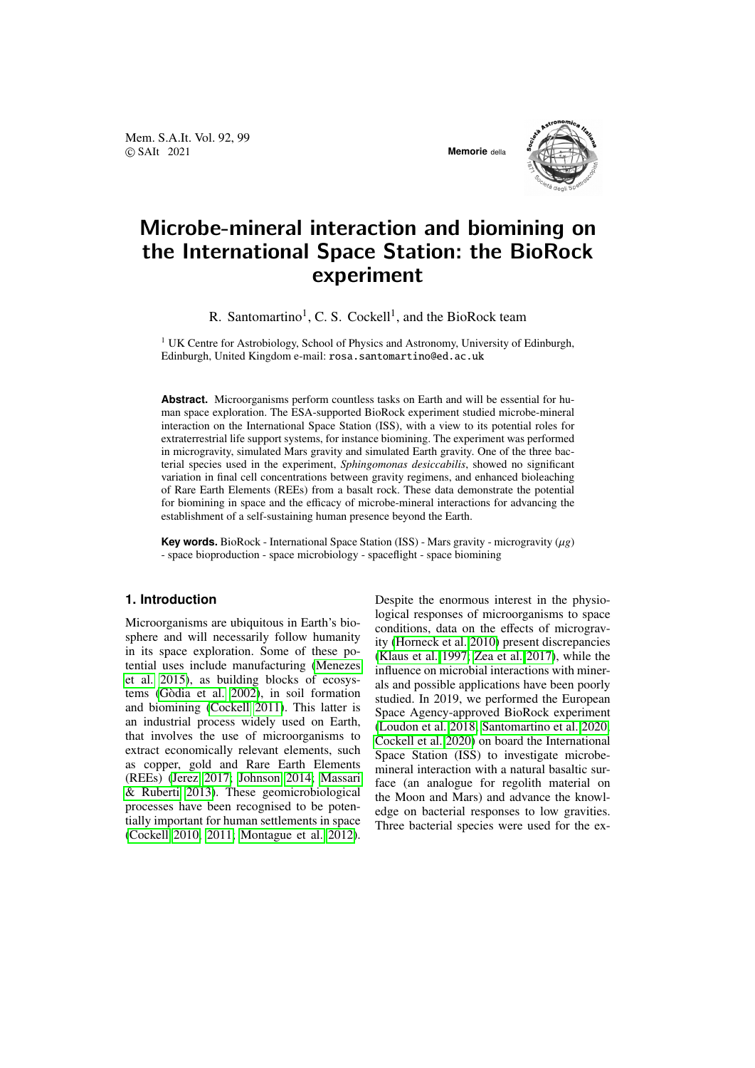Mem. S.A.It. Vol. 92, 99 © SAIt 2021 **Memorie** della



# Microbe-mineral interaction and biomining on the International Space Station: the BioRock experiment

R. Santomartino<sup>1</sup>, C. S. Cockell<sup>1</sup>, and the BioRock team

<sup>1</sup> UK Centre for Astrobiology, School of Physics and Astronomy, University of Edinburgh, Edinburgh, United Kingdom e-mail: rosa.santomartino@ed.ac.uk

**Abstract.** Microorganisms perform countless tasks on Earth and will be essential for human space exploration. The ESA-supported BioRock experiment studied microbe-mineral interaction on the International Space Station (ISS), with a view to its potential roles for extraterrestrial life support systems, for instance biomining. The experiment was performed in microgravity, simulated Mars gravity and simulated Earth gravity. One of the three bacterial species used in the experiment, *Sphingomonas desiccabilis*, showed no significant variation in final cell concentrations between gravity regimens, and enhanced bioleaching of Rare Earth Elements (REEs) from a basalt rock. These data demonstrate the potential for biomining in space and the efficacy of microbe-mineral interactions for advancing the establishment of a self-sustaining human presence beyond the Earth.

**Key words.** BioRock - International Space Station (ISS) - Mars gravity - microgravity (µ*g*) - space bioproduction - space microbiology - spaceflight - space biomining

### **1. Introduction**

Microorganisms are ubiquitous in Earth's biosphere and will necessarily follow humanity in its space exploration. Some of these potential uses include manufacturing [\(Menezes](#page-3-0) [et al. 2015\)](#page-3-0), as building blocks of ecosystems [\(Godia et al. 2002\)](#page-3-1), in soil formation ` and biomining [\(Cockell 2011\)](#page-3-2). This latter is an industrial process widely used on Earth, that involves the use of microorganisms to extract economically relevant elements, such as copper, gold and Rare Earth Elements (REEs) [\(Jerez 2017;](#page-3-3) [Johnson 2014;](#page-3-4) [Massari](#page-3-5) [& Ruberti 2013\)](#page-3-5). These geomicrobiological processes have been recognised to be potentially important for human settlements in space [\(Cockell 2010,](#page-3-6) [2011;](#page-3-2) [Montague et al. 2012\)](#page-3-7). Despite the enormous interest in the physiological responses of microorganisms to space conditions, data on the effects of microgravity [\(Horneck et al. 2010\)](#page-3-8) present discrepancies [\(Klaus et al. 1997;](#page-3-9) [Zea et al. 2017\)](#page-3-10), while the influence on microbial interactions with minerals and possible applications have been poorly studied. In 2019, we performed the European Space Agency-approved BioRock experiment [\(Loudon et al. 2018;](#page-3-11) [Santomartino et al. 2020;](#page-3-12) [Cockell et al. 2020\)](#page-3-13) on board the International Space Station (ISS) to investigate microbemineral interaction with a natural basaltic surface (an analogue for regolith material on the Moon and Mars) and advance the knowledge on bacterial responses to low gravities. Three bacterial species were used for the ex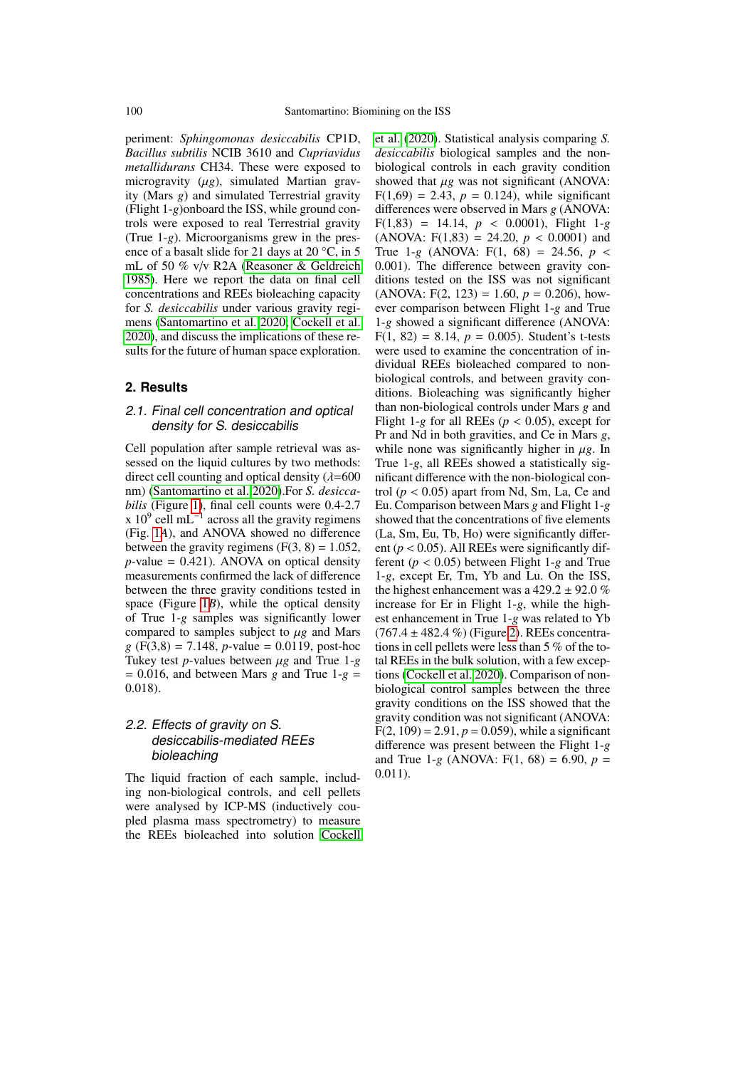periment: *Sphingomonas desiccabilis* CP1D, *Bacillus subtilis* NCIB 3610 and *Cupriavidus metallidurans* CH34. These were exposed to microgravity  $(\mu g)$ , simulated Martian gravity (Mars *g*) and simulated Terrestrial gravity (Flight 1-*g*)onboard the ISS, while ground controls were exposed to real Terrestrial gravity (True 1-*g*). Microorganisms grew in the presence of a basalt slide for 21 days at 20 °C, in 5 mL of 50 % v/v R2A [\(Reasoner & Geldreich](#page-3-14) [1985\)](#page-3-14). Here we report the data on final cell concentrations and REEs bioleaching capacity for *S. desiccabilis* under various gravity regimens [\(Santomartino et al. 2020;](#page-3-12) [Cockell et al.](#page-3-13) [2020\)](#page-3-13), and discuss the implications of these results for the future of human space exploration.

#### **2. Results**

#### 2.1. Final cell concentration and optical density for S. desiccabilis

Cell population after sample retrieval was assessed on the liquid cultures by two methods: direct cell counting and optical density  $(\lambda=600$ nm) [\(Santomartino et al. 2020\)](#page-3-12).For *S. desiccabilis* (Figure [1\)](#page-2-0), final cell counts were 0.4-2.7 x  $10^9$  cell mL<sup>-1</sup> across all the gravity regimens (Fig. [1](#page-2-0)*A*), and ANOVA showed no difference between the gravity regimens  $(F(3, 8) = 1.052)$ ,  $p$ -value = 0.421). ANOVA on optical density measurements confirmed the lack of difference between the three gravity conditions tested in space (Figure [1](#page-2-0)*B*), while the optical density of True 1-*g* samples was significantly lower compared to samples subject to  $\mu$ g and Mars *g* (F(3,8) = 7.148, *p*-value = 0.0119, post-hoc Tukey test *p*-values between  $\mu$ *g* and True 1-*g*  $= 0.016$ , and between Mars *g* and True 1-*g* = 0.018).

# 2.2. Effects of gravity on S. desiccabilis-mediated REEs bioleaching

The liquid fraction of each sample, including non-biological controls, and cell pellets were analysed by ICP-MS (inductively coupled plasma mass spectrometry) to measure the REEs bioleached into solution [Cockell](#page-3-13) [et al.](#page-3-13) [\(2020\)](#page-3-13). Statistical analysis comparing *S. desiccabilis* biological samples and the nonbiological controls in each gravity condition showed that  $\mu$ g was not significant (ANOVA:  $F(1,69) = 2.43$ ,  $p = 0.124$ ), while significant differences were observed in Mars *g* (ANOVA:  $F(1,83) = 14.14$ ,  $p < 0.0001$ ), Flight 1-*g* (ANOVA:  $F(1,83) = 24.20$ ,  $p < 0.0001$ ) and True 1-*g* (ANOVA: F(1, 68) = 24.56, *p* < 0.001). The difference between gravity conditions tested on the ISS was not significant  $(ANOVA: F(2, 123) = 1.60, p = 0.206)$ , however comparison between Flight 1-*g* and True 1-*g* showed a significant difference (ANOVA:  $F(1, 82) = 8.14, p = 0.005$ . Student's t-tests were used to examine the concentration of individual REEs bioleached compared to nonbiological controls, and between gravity conditions. Bioleaching was significantly higher than non-biological controls under Mars *g* and Flight 1-*g* for all REEs ( $p < 0.05$ ), except for Pr and Nd in both gravities, and Ce in Mars *g*, while none was significantly higher in  $\mu$ g. In True 1-*g*, all REEs showed a statistically significant difference with the non-biological control  $(p < 0.05)$  apart from Nd, Sm, La, Ce and Eu. Comparison between Mars *g* and Flight 1-*g* showed that the concentrations of five elements (La, Sm, Eu, Tb, Ho) were significantly different ( $p < 0.05$ ). All REEs were significantly different (*<sup>p</sup>* < 0.05) between Flight 1-*<sup>g</sup>* and True 1-*g*, except Er, Tm, Yb and Lu. On the ISS, the highest enhancement was a  $429.2 \pm 92.0$  % increase for Er in Flight 1-*g*, while the highest enhancement in True 1-*g* was related to Yb  $(767.4 \pm 482.4 \%)$  (Figure [2\)](#page-3-15). REEs concentrations in cell pellets were less than 5 % of the total REEs in the bulk solution, with a few exceptions [\(Cockell et al. 2020\)](#page-3-13). Comparison of nonbiological control samples between the three gravity conditions on the ISS showed that the gravity condition was not significant (ANOVA:  $F(2, 109) = 2.91, p = 0.059$ , while a significant difference was present between the Flight 1-*g* and True 1-*g* (ANOVA:  $F(1, 68) = 6.90$ ,  $p =$ 0.011).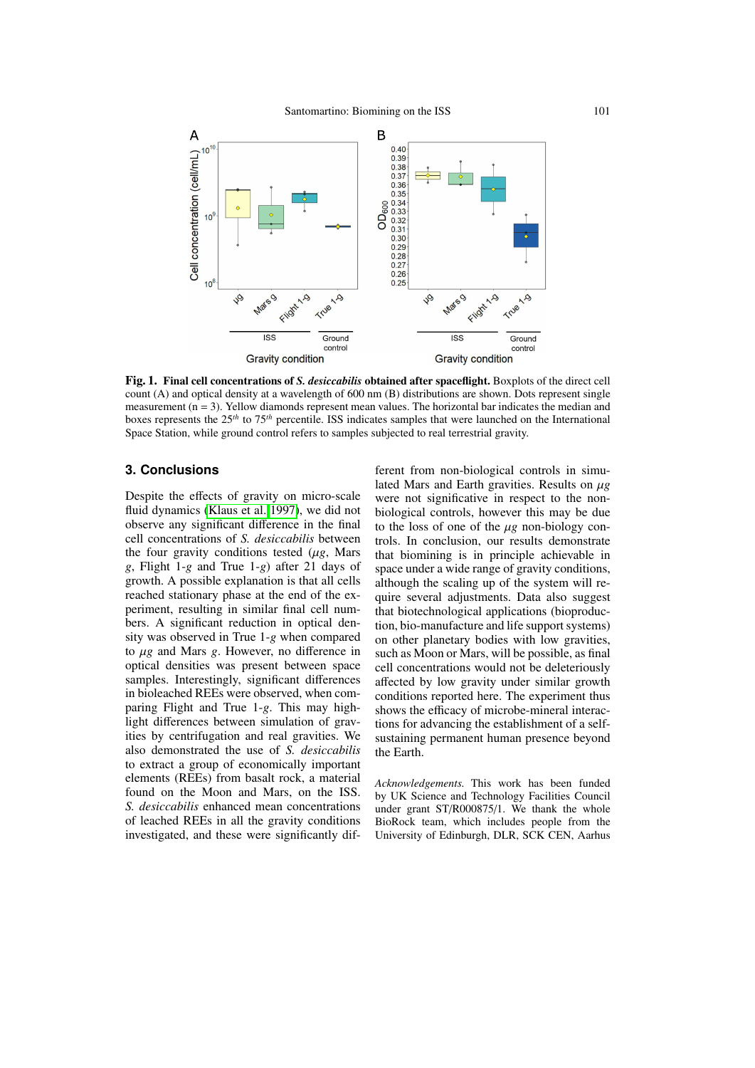

<span id="page-2-0"></span>Fig. 1. Final cell concentrations of *S. desiccabilis* obtained after spaceflight. Boxplots of the direct cell count (A) and optical density at a wavelength of 600 nm (B) distributions are shown. Dots represent single measurement  $(n = 3)$ . Yellow diamonds represent mean values. The horizontal bar indicates the median and boxes represents the 25*th* to 75*th* percentile. ISS indicates samples that were launched on the International Space Station, while ground control refers to samples subjected to real terrestrial gravity.

# **3. Conclusions**

Despite the effects of gravity on micro-scale fluid dynamics [\(Klaus et al. 1997\)](#page-3-9), we did not observe any significant difference in the final cell concentrations of *S. desiccabilis* between the four gravity conditions tested (µ*g*, Mars *g*, Flight 1-*g* and True 1-*g*) after 21 days of growth. A possible explanation is that all cells reached stationary phase at the end of the experiment, resulting in similar final cell numbers. A significant reduction in optical density was observed in True 1-*g* when compared to  $\mu$ g and Mars *g*. However, no difference in optical densities was present between space samples. Interestingly, significant differences in bioleached REEs were observed, when comparing Flight and True 1-*g*. This may highlight differences between simulation of gravities by centrifugation and real gravities. We also demonstrated the use of *S. desiccabilis* to extract a group of economically important elements (REEs) from basalt rock, a material found on the Moon and Mars, on the ISS. *S. desiccabilis* enhanced mean concentrations of leached REEs in all the gravity conditions investigated, and these were significantly different from non-biological controls in simulated Mars and Earth gravities. Results on µ*<sup>g</sup>* were not significative in respect to the nonbiological controls, however this may be due to the loss of one of the µ*<sup>g</sup>* non-biology controls. In conclusion, our results demonstrate that biomining is in principle achievable in space under a wide range of gravity conditions, although the scaling up of the system will require several adjustments. Data also suggest that biotechnological applications (bioproduction, bio-manufacture and life support systems) on other planetary bodies with low gravities, such as Moon or Mars, will be possible, as final cell concentrations would not be deleteriously affected by low gravity under similar growth conditions reported here. The experiment thus shows the efficacy of microbe-mineral interactions for advancing the establishment of a selfsustaining permanent human presence beyond the Earth.

*Acknowledgements.* This work has been funded by UK Science and Technology Facilities Council under grant ST/R000875/1. We thank the whole BioRock team, which includes people from the University of Edinburgh, DLR, SCK CEN, Aarhus